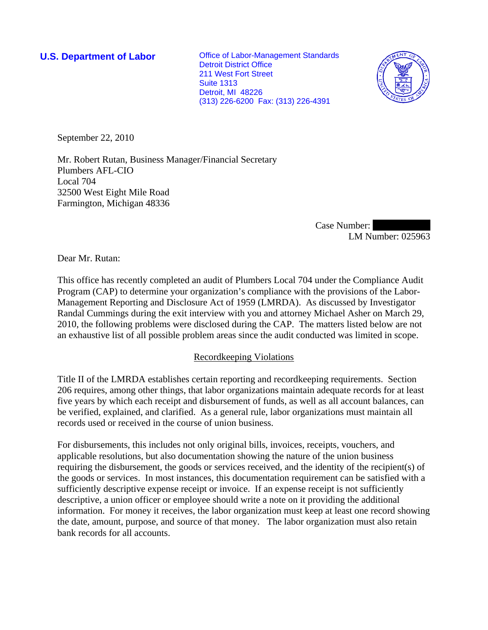**U.S. Department of Labor Conservative Conservation Conservative Conservation Conservation Conservation Conservation** Detroit District Office 211 West Fort Street Suite 1313 Detroit, MI 48226 (313) 226-6200 Fax: (313) 226-4391



September 22, 2010

Mr. Robert Rutan, Business Manager/Financial Secretary Plumbers AFL-CIO Local 704 32500 West Eight Mile Road Farmington, Michigan 48336

> Case Number: LM Number: 025963

Dear Mr. Rutan:

This office has recently completed an audit of Plumbers Local 704 under the Compliance Audit Program (CAP) to determine your organization's compliance with the provisions of the Labor-Management Reporting and Disclosure Act of 1959 (LMRDA). As discussed by Investigator Randal Cummings during the exit interview with you and attorney Michael Asher on March 29, 2010, the following problems were disclosed during the CAP. The matters listed below are not an exhaustive list of all possible problem areas since the audit conducted was limited in scope.

# Recordkeeping Violations

Title II of the LMRDA establishes certain reporting and recordkeeping requirements. Section 206 requires, among other things, that labor organizations maintain adequate records for at least five years by which each receipt and disbursement of funds, as well as all account balances, can be verified, explained, and clarified. As a general rule, labor organizations must maintain all records used or received in the course of union business.

For disbursements, this includes not only original bills, invoices, receipts, vouchers, and applicable resolutions, but also documentation showing the nature of the union business requiring the disbursement, the goods or services received, and the identity of the recipient(s) of the goods or services. In most instances, this documentation requirement can be satisfied with a sufficiently descriptive expense receipt or invoice. If an expense receipt is not sufficiently descriptive, a union officer or employee should write a note on it providing the additional information. For money it receives, the labor organization must keep at least one record showing the date, amount, purpose, and source of that money. The labor organization must also retain bank records for all accounts.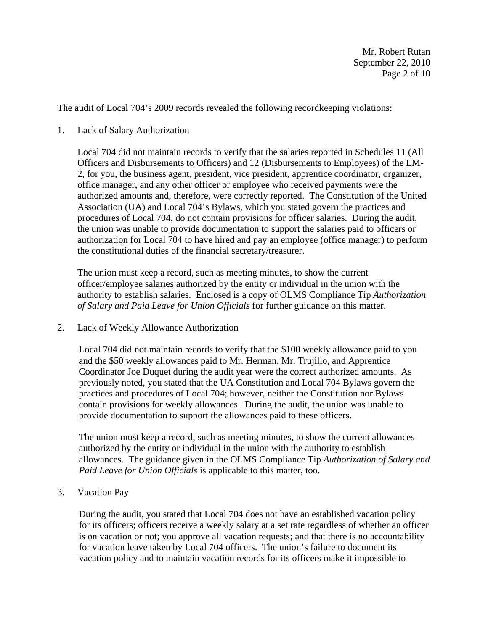Mr. Robert Rutan September 22, 2010 Page 2 of 10

The audit of Local 704's 2009 records revealed the following recordkeeping violations:

1. Lack of Salary Authorization

Local 704 did not maintain records to verify that the salaries reported in Schedules 11 (All Officers and Disbursements to Officers) and 12 (Disbursements to Employees) of the LM-2, for you, the business agent, president, vice president, apprentice coordinator, organizer, office manager, and any other officer or employee who received payments were the authorized amounts and, therefore, were correctly reported. The Constitution of the United Association (UA) and Local 704's Bylaws, which you stated govern the practices and procedures of Local 704, do not contain provisions for officer salaries. During the audit, the union was unable to provide documentation to support the salaries paid to officers or authorization for Local 704 to have hired and pay an employee (office manager) to perform the constitutional duties of the financial secretary/treasurer.

The union must keep a record, such as meeting minutes, to show the current officer/employee salaries authorized by the entity or individual in the union with the authority to establish salaries. Enclosed is a copy of OLMS Compliance Tip *Authorization of Salary and Paid Leave for Union Officials* for further guidance on this matter.

2. Lack of Weekly Allowance Authorization

Local 704 did not maintain records to verify that the \$100 weekly allowance paid to you and the \$50 weekly allowances paid to Mr. Herman, Mr. Trujillo, and Apprentice Coordinator Joe Duquet during the audit year were the correct authorized amounts. As previously noted, you stated that the UA Constitution and Local 704 Bylaws govern the practices and procedures of Local 704; however, neither the Constitution nor Bylaws contain provisions for weekly allowances. During the audit, the union was unable to provide documentation to support the allowances paid to these officers.

The union must keep a record, such as meeting minutes, to show the current allowances authorized by the entity or individual in the union with the authority to establish allowances. The guidance given in the OLMS Compliance Tip *Authorization of Salary and Paid Leave for Union Officials* is applicable to this matter, too.

3. Vacation Pay

During the audit, you stated that Local 704 does not have an established vacation policy for its officers; officers receive a weekly salary at a set rate regardless of whether an officer is on vacation or not; you approve all vacation requests; and that there is no accountability for vacation leave taken by Local 704 officers. The union's failure to document its vacation policy and to maintain vacation records for its officers make it impossible to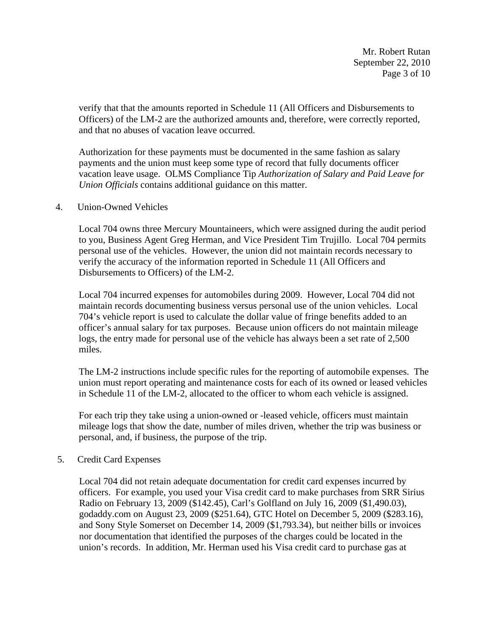Mr. Robert Rutan September 22, 2010 Page 3 of 10

verify that that the amounts reported in Schedule 11 (All Officers and Disbursements to Officers) of the LM-2 are the authorized amounts and, therefore, were correctly reported, and that no abuses of vacation leave occurred.

Authorization for these payments must be documented in the same fashion as salary payments and the union must keep some type of record that fully documents officer vacation leave usage. OLMS Compliance Tip *Authorization of Salary and Paid Leave for Union Officials* contains additional guidance on this matter.

### 4. Union-Owned Vehicles

Local 704 owns three Mercury Mountaineers, which were assigned during the audit period to you, Business Agent Greg Herman, and Vice President Tim Trujillo. Local 704 permits personal use of the vehicles. However, the union did not maintain records necessary to verify the accuracy of the information reported in Schedule 11 (All Officers and Disbursements to Officers) of the LM-2.

Local 704 incurred expenses for automobiles during 2009. However, Local 704 did not maintain records documenting business versus personal use of the union vehicles. Local 704's vehicle report is used to calculate the dollar value of fringe benefits added to an officer's annual salary for tax purposes. Because union officers do not maintain mileage logs, the entry made for personal use of the vehicle has always been a set rate of 2,500 miles.

The LM-2 instructions include specific rules for the reporting of automobile expenses. The union must report operating and maintenance costs for each of its owned or leased vehicles in Schedule 11 of the LM-2, allocated to the officer to whom each vehicle is assigned.

For each trip they take using a union-owned or -leased vehicle, officers must maintain mileage logs that show the date, number of miles driven, whether the trip was business or personal, and, if business, the purpose of the trip.

# 5. Credit Card Expenses

Local 704 did not retain adequate documentation for credit card expenses incurred by officers. For example, you used your Visa credit card to make purchases from SRR Sirius Radio on February 13, 2009 (\$142.45), Carl's Golfland on July 16, 2009 (\$1,490.03), godaddy.com on August 23, 2009 (\$251.64), GTC Hotel on December 5, 2009 (\$283.16), and Sony Style Somerset on December 14, 2009 (\$1,793.34), but neither bills or invoices nor documentation that identified the purposes of the charges could be located in the union's records. In addition, Mr. Herman used his Visa credit card to purchase gas at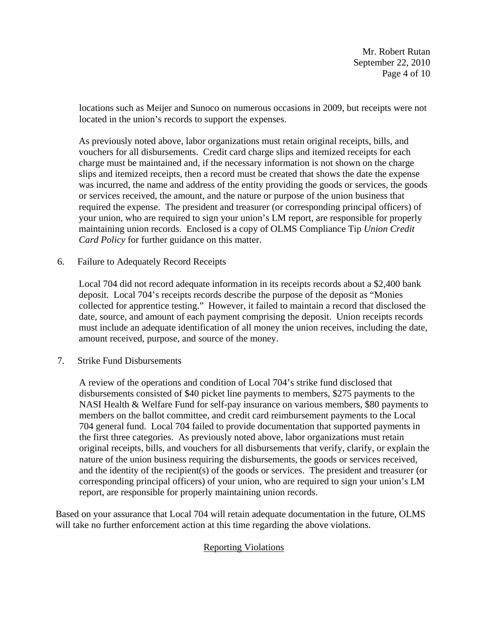Mr. Robert Rutan September 22, 2010 Page 4 of 10

locations such as Meijer and Sunoco on numerous occasions in 2009, but receipts were not located in the union's records to support the expenses.

As previously noted above, labor organizations must retain original receipts, bills, and vouchers for all disbursements. Credit card charge slips and itemized receipts for each charge must be maintained and, if the necessary information is not shown on the charge slips and itemized receipts, then a record must be created that shows the date the expense was incurred, the name and address of the entity providing the goods or services, the goods or services received, the amount, and the nature or purpose of the union business that required the expense. The president and treasurer (or corresponding principal officers) of your union, who are required to sign your union's LM report, are responsible for properly maintaining union records. Enclosed is a copy of OLMS Compliance Tip *Union Credit Card Policy* for further guidance on this matter.

# 6. Failure to Adequately Record Receipts

Local 704 did not record adequate information in its receipts records about a \$2,400 bank deposit. Local 704's receipts records describe the purpose of the deposit as "Monies collected for apprentice testing." However, it failed to maintain a record that disclosed the date, source, and amount of each payment comprising the deposit. Union receipts records must include an adequate identification of all money the union receives, including the date, amount received, purpose, and source of the money.

7. Strike Fund Disbursements

A review of the operations and condition of Local 704's strike fund disclosed that disbursements consisted of \$40 picket line payments to members, \$275 payments to the NASI Health & Welfare Fund for self-pay insurance on various members, \$80 payments to members on the ballot committee, and credit card reimbursement payments to the Local 704 general fund. Local 704 failed to provide documentation that supported payments in the first three categories. As previously noted above, labor organizations must retain original receipts, bills, and vouchers for all disbursements that verify, clarify, or explain the nature of the union business requiring the disbursements, the goods or services received, and the identity of the recipient(s) of the goods or services. The president and treasurer (or corresponding principal officers) of your union, who are required to sign your union's LM report, are responsible for properly maintaining union records.

Based on your assurance that Local 704 will retain adequate documentation in the future, OLMS will take no further enforcement action at this time regarding the above violations.

# Reporting Violations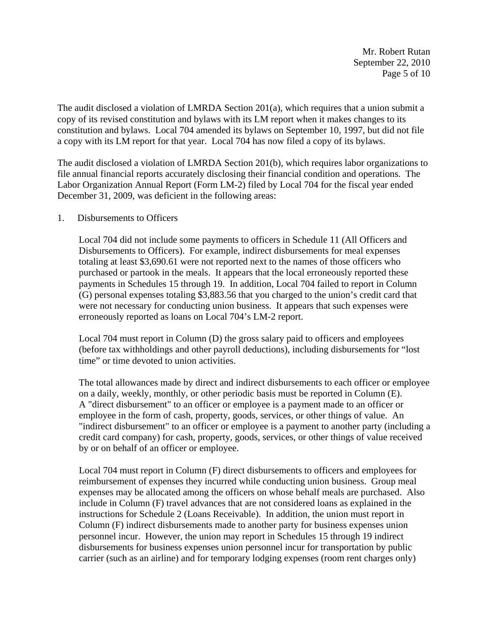Mr. Robert Rutan September 22, 2010 Page 5 of 10

The audit disclosed a violation of LMRDA Section 201(a), which requires that a union submit a copy of its revised constitution and bylaws with its LM report when it makes changes to its constitution and bylaws. Local 704 amended its bylaws on September 10, 1997, but did not file a copy with its LM report for that year. Local 704 has now filed a copy of its bylaws.

The audit disclosed a violation of LMRDA Section 201(b), which requires labor organizations to file annual financial reports accurately disclosing their financial condition and operations. The Labor Organization Annual Report (Form LM-2) filed by Local 704 for the fiscal year ended December 31, 2009, was deficient in the following areas:

#### 1. Disbursements to Officers

Local 704 did not include some payments to officers in Schedule 11 (All Officers and Disbursements to Officers). For example, indirect disbursements for meal expenses totaling at least \$3,690.61 were not reported next to the names of those officers who purchased or partook in the meals. It appears that the local erroneously reported these payments in Schedules 15 through 19. In addition, Local 704 failed to report in Column (G) personal expenses totaling \$3,883.56 that you charged to the union's credit card that were not necessary for conducting union business. It appears that such expenses were erroneously reported as loans on Local 704's LM-2 report.

Local 704 must report in Column (D) the gross salary paid to officers and employees (before tax withholdings and other payroll deductions), including disbursements for "lost time" or time devoted to union activities.

The total allowances made by direct and indirect disbursements to each officer or employee on a daily, weekly, monthly, or other periodic basis must be reported in Column (E). A "direct disbursement" to an officer or employee is a payment made to an officer or employee in the form of cash, property, goods, services, or other things of value. An "indirect disbursement" to an officer or employee is a payment to another party (including a credit card company) for cash, property, goods, services, or other things of value received by or on behalf of an officer or employee.

Local 704 must report in Column (F) direct disbursements to officers and employees for reimbursement of expenses they incurred while conducting union business. Group meal expenses may be allocated among the officers on whose behalf meals are purchased. Also include in Column (F) travel advances that are not considered loans as explained in the instructions for Schedule 2 (Loans Receivable). In addition, the union must report in Column (F) indirect disbursements made to another party for business expenses union personnel incur. However, the union may report in Schedules 15 through 19 indirect disbursements for business expenses union personnel incur for transportation by public carrier (such as an airline) and for temporary lodging expenses (room rent charges only)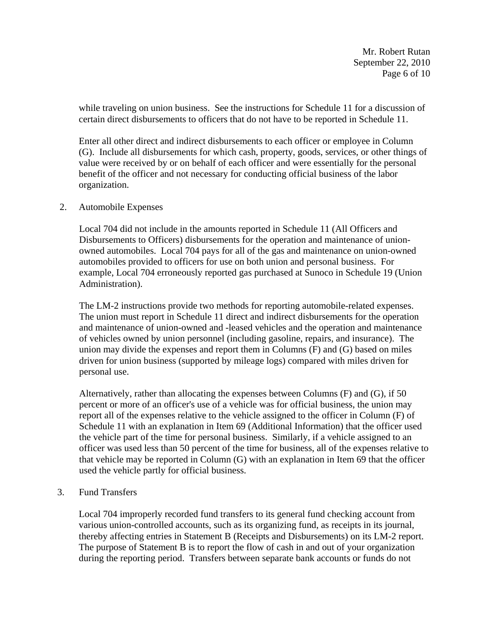Mr. Robert Rutan September 22, 2010 Page 6 of 10

while traveling on union business. See the instructions for Schedule 11 for a discussion of certain direct disbursements to officers that do not have to be reported in Schedule 11.

Enter all other direct and indirect disbursements to each officer or employee in Column (G). Include all disbursements for which cash, property, goods, services, or other things of value were received by or on behalf of each officer and were essentially for the personal benefit of the officer and not necessary for conducting official business of the labor organization.

### 2. Automobile Expenses

Local 704 did not include in the amounts reported in Schedule 11 (All Officers and Disbursements to Officers) disbursements for the operation and maintenance of unionowned automobiles. Local 704 pays for all of the gas and maintenance on union-owned automobiles provided to officers for use on both union and personal business. For example, Local 704 erroneously reported gas purchased at Sunoco in Schedule 19 (Union Administration).

The LM-2 instructions provide two methods for reporting automobile-related expenses. The union must report in Schedule 11 direct and indirect disbursements for the operation and maintenance of union-owned and -leased vehicles and the operation and maintenance of vehicles owned by union personnel (including gasoline, repairs, and insurance). The union may divide the expenses and report them in Columns (F) and (G) based on miles driven for union business (supported by mileage logs) compared with miles driven for personal use.

Alternatively, rather than allocating the expenses between Columns (F) and (G), if 50 percent or more of an officer's use of a vehicle was for official business, the union may report all of the expenses relative to the vehicle assigned to the officer in Column (F) of Schedule 11 with an explanation in Item 69 (Additional Information) that the officer used the vehicle part of the time for personal business. Similarly, if a vehicle assigned to an officer was used less than 50 percent of the time for business, all of the expenses relative to that vehicle may be reported in Column (G) with an explanation in Item 69 that the officer used the vehicle partly for official business.

# 3. Fund Transfers

Local 704 improperly recorded fund transfers to its general fund checking account from various union-controlled accounts, such as its organizing fund, as receipts in its journal, thereby affecting entries in Statement B (Receipts and Disbursements) on its LM-2 report. The purpose of Statement B is to report the flow of cash in and out of your organization during the reporting period. Transfers between separate bank accounts or funds do not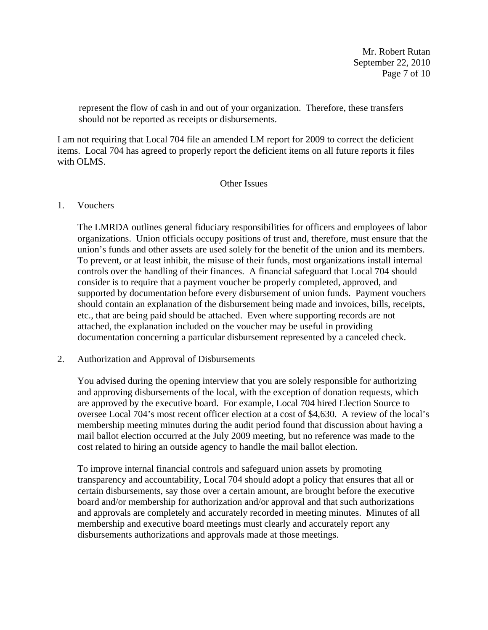Mr. Robert Rutan September 22, 2010 Page 7 of 10

represent the flow of cash in and out of your organization. Therefore, these transfers should not be reported as receipts or disbursements.

I am not requiring that Local 704 file an amended LM report for 2009 to correct the deficient items. Local 704 has agreed to properly report the deficient items on all future reports it files with OLMS.

# Other Issues

# 1. Vouchers

The LMRDA outlines general fiduciary responsibilities for officers and employees of labor organizations. Union officials occupy positions of trust and, therefore, must ensure that the union's funds and other assets are used solely for the benefit of the union and its members. To prevent, or at least inhibit, the misuse of their funds, most organizations install internal controls over the handling of their finances. A financial safeguard that Local 704 should consider is to require that a payment voucher be properly completed, approved, and supported by documentation before every disbursement of union funds. Payment vouchers should contain an explanation of the disbursement being made and invoices, bills, receipts, etc., that are being paid should be attached. Even where supporting records are not attached, the explanation included on the voucher may be useful in providing documentation concerning a particular disbursement represented by a canceled check.

2. Authorization and Approval of Disbursements

You advised during the opening interview that you are solely responsible for authorizing and approving disbursements of the local, with the exception of donation requests, which are approved by the executive board. For example, Local 704 hired Election Source to oversee Local 704's most recent officer election at a cost of \$4,630. A review of the local's membership meeting minutes during the audit period found that discussion about having a mail ballot election occurred at the July 2009 meeting, but no reference was made to the cost related to hiring an outside agency to handle the mail ballot election.

To improve internal financial controls and safeguard union assets by promoting transparency and accountability, Local 704 should adopt a policy that ensures that all or certain disbursements, say those over a certain amount, are brought before the executive board and/or membership for authorization and/or approval and that such authorizations and approvals are completely and accurately recorded in meeting minutes. Minutes of all membership and executive board meetings must clearly and accurately report any disbursements authorizations and approvals made at those meetings.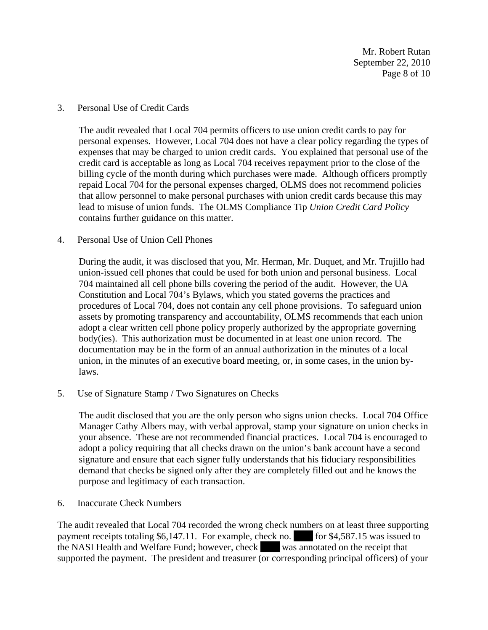Mr. Robert Rutan September 22, 2010 Page 8 of 10

#### 3. Personal Use of Credit Cards

The audit revealed that Local 704 permits officers to use union credit cards to pay for personal expenses. However, Local 704 does not have a clear policy regarding the types of expenses that may be charged to union credit cards. You explained that personal use of the credit card is acceptable as long as Local 704 receives repayment prior to the close of the billing cycle of the month during which purchases were made. Although officers promptly repaid Local 704 for the personal expenses charged, OLMS does not recommend policies that allow personnel to make personal purchases with union credit cards because this may lead to misuse of union funds. The OLMS Compliance Tip *Union Credit Card Policy*  contains further guidance on this matter.

### 4. Personal Use of Union Cell Phones

During the audit, it was disclosed that you, Mr. Herman, Mr. Duquet, and Mr. Trujillo had union-issued cell phones that could be used for both union and personal business. Local 704 maintained all cell phone bills covering the period of the audit. However, the UA Constitution and Local 704's Bylaws, which you stated governs the practices and procedures of Local 704, does not contain any cell phone provisions. To safeguard union assets by promoting transparency and accountability, OLMS recommends that each union adopt a clear written cell phone policy properly authorized by the appropriate governing body(ies). This authorization must be documented in at least one union record. The documentation may be in the form of an annual authorization in the minutes of a local union, in the minutes of an executive board meeting, or, in some cases, in the union bylaws.

5. Use of Signature Stamp / Two Signatures on Checks

The audit disclosed that you are the only person who signs union checks. Local 704 Office Manager Cathy Albers may, with verbal approval, stamp your signature on union checks in your absence. These are not recommended financial practices. Local 704 is encouraged to adopt a policy requiring that all checks drawn on the union's bank account have a second signature and ensure that each signer fully understands that his fiduciary responsibilities demand that checks be signed only after they are completely filled out and he knows the purpose and legitimacy of each transaction.

6. Inaccurate Check Numbers

The audit revealed that Local 704 recorded the wrong check numbers on at least three supporting payment receipts totaling \$6,147.11. For example, check no.  $|$  for \$4,587.15 was issued to the NASI Health and Welfare Fund; however, check was annotated on the receipt that supported the payment. The president and treasurer (or corresponding principal officers) of your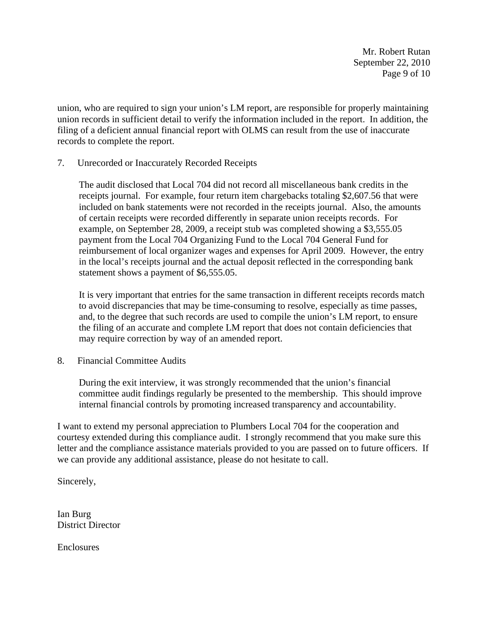Mr. Robert Rutan September 22, 2010 Page 9 of 10

union, who are required to sign your union's LM report, are responsible for properly maintaining union records in sufficient detail to verify the information included in the report. In addition, the filing of a deficient annual financial report with OLMS can result from the use of inaccurate records to complete the report.

7. Unrecorded or Inaccurately Recorded Receipts

The audit disclosed that Local 704 did not record all miscellaneous bank credits in the receipts journal. For example, four return item chargebacks totaling \$2,607.56 that were included on bank statements were not recorded in the receipts journal. Also, the amounts of certain receipts were recorded differently in separate union receipts records. For example, on September 28, 2009, a receipt stub was completed showing a \$3,555.05 payment from the Local 704 Organizing Fund to the Local 704 General Fund for reimbursement of local organizer wages and expenses for April 2009. However, the entry in the local's receipts journal and the actual deposit reflected in the corresponding bank statement shows a payment of \$6,555.05.

It is very important that entries for the same transaction in different receipts records match to avoid discrepancies that may be time-consuming to resolve, especially as time passes, and, to the degree that such records are used to compile the union's LM report, to ensure the filing of an accurate and complete LM report that does not contain deficiencies that may require correction by way of an amended report.

8. Financial Committee Audits

During the exit interview, it was strongly recommended that the union's financial committee audit findings regularly be presented to the membership. This should improve internal financial controls by promoting increased transparency and accountability.

I want to extend my personal appreciation to Plumbers Local 704 for the cooperation and courtesy extended during this compliance audit. I strongly recommend that you make sure this letter and the compliance assistance materials provided to you are passed on to future officers. If we can provide any additional assistance, please do not hesitate to call.

Sincerely,

Ian Burg District Director

Enclosures